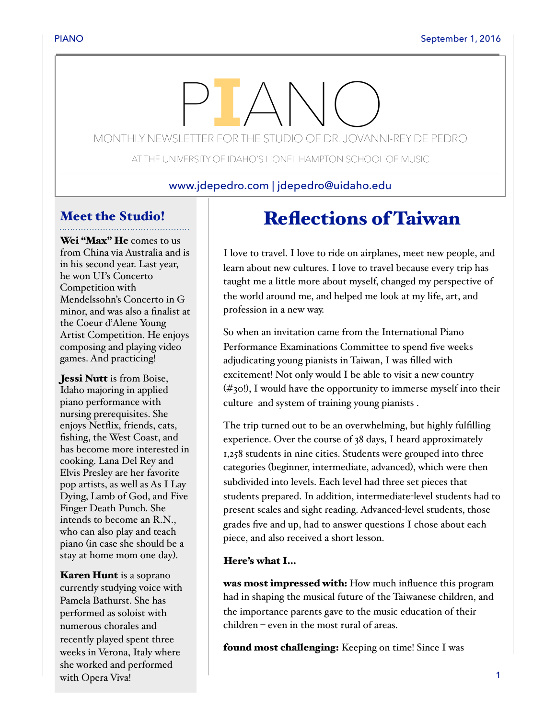# MONTHLY NEWSLETTER FOR THE STUDIO OF DR. JOVANNI-REY DE PEDRO

AT THE UNIVERSITY OF IDAHO'S LIONEL HAMPTON SCHOOL OF MUSIC

www.jdepedro.com | jdepedro@uidaho.edu

## Meet the Studio!

Wei "Max" He comes to us from China via Australia and is in his second year. Last year, he won UI's Concerto Competition with Mendelssohn's Concerto in G minor, and was also a finalist at the Coeur d'Alene Young Artist Competition. He enjoys composing and playing video games. And practicing!

Jessi Nutt is from Boise, Idaho majoring in applied piano performance with nursing prerequisites. She enjoys Netflix, friends, cats, fishing, the West Coast, and has become more interested in cooking. Lana Del Rey and Elvis Presley are her favorite pop artists, as well as As I Lay Dying, Lamb of God, and Five Finger Death Punch. She intends to become an R.N., who can also play and teach piano (in case she should be a stay at home mom one day).

**Karen Hunt** is a soprano currently studying voice with Pamela Bathurst. She has performed as soloist with numerous chorales and recently played spent three weeks in Verona, Italy where she worked and performed with Opera Viva!

## Reflections of Taiwan

I love to travel. I love to ride on airplanes, meet new people, and learn about new cultures. I love to travel because every trip has taught me a little more about myself, changed my perspective of the world around me, and helped me look at my life, art, and profession in a new way.

So when an invitation came from the International Piano Performance Examinations Committee to spend five weeks adjudicating young pianists in Taiwan, I was filled with excitement! Not only would I be able to visit a new country  $(\#$ 30!), I would have the opportunity to immerse myself into their culture and system of training young pianists .

The trip turned out to be an overwhelming, but highly fulfilling experience. Over the course of 38 days, I heard approximately 1,258 students in nine cities. Students were grouped into three categories (beginner, intermediate, advanced), which were then subdivided into levels. Each level had three set pieces that students prepared. In addition, intermediate-level students had to present scales and sight reading. Advanced-level students, those grades five and up, had to answer questions I chose about each piece, and also received a short lesson.

#### Here's what I…

was most impressed with: How much influence this program had in shaping the musical future of the Taiwanese children, and the importance parents gave to the music education of their children – even in the most rural of areas.

found most challenging: Keeping on time! Since I was